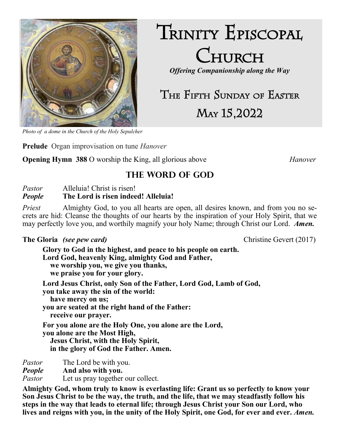

# TRINITY EPISCOPAL CHURCH

*Offering Companionship along the Way*

The Fifth Sunday of Easter May 15,2022

*Photo of a dome in the Church of the Holy Sepulcher*

**Prelude** Organ improvisation on tune *Hanover*

**Opening Hymn 388** O worship the King, all glorious above *Hanover*

# **The Word of God**

*Pastor* Alleluia! Christ is risen!

#### *People* **The Lord is risen indeed! Alleluia!**

*Priest* Almighty God, to you all hearts are open, all desires known, and from you no secrets are hid: Cleanse the thoughts of our hearts by the inspiration of your Holy Spirit, that we may perfectly love you, and worthily magnify your holy Name; through Christ our Lord. *Amen.*

### **The Gloria** *(see pew card)* Christine Gevert (2017)

**Glory to God in the highest, and peace to his people on earth. Lord God, heavenly King, almighty God and Father, we worship you, we give you thanks, we praise you for your glory. Lord Jesus Christ, only Son of the Father, Lord God, Lamb of God, you take away the sin of the world: have mercy on us; you are seated at the right hand of the Father: receive our prayer. For you alone are the Holy One, you alone are the Lord, you alone are the Most High,**

 **Jesus Christ, with the Holy Spirit, in the glory of God the Father. Amen.** 

*Pastor* The Lord be with you. *People* **And also with you.**

*Pastor* Let us pray together our collect.

**Almighty God, whom truly to know is everlasting life: Grant us so perfectly to know your Son Jesus Christ to be the way, the truth, and the life, that we may steadfastly follow his steps in the way that leads to eternal life; through Jesus Christ your Son our Lord, who lives and reigns with you, in the unity of the Holy Spirit, one God, for ever and ever.** *Amen.*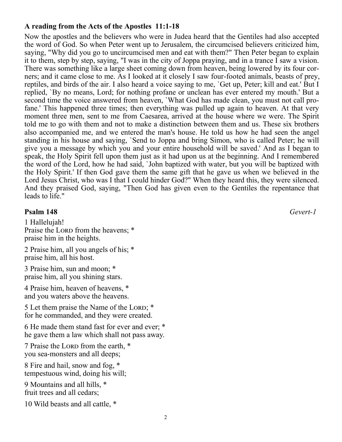#### **A reading from the Acts of the Apostles 11:1-18**

Now the apostles and the believers who were in Judea heard that the Gentiles had also accepted the word of God. So when Peter went up to Jerusalem, the circumcised believers criticized him, saying, "Why did you go to uncircumcised men and eat with them?" Then Peter began to explain it to them, step by step, saying, "I was in the city of Joppa praying, and in a trance I saw a vision. There was something like a large sheet coming down from heaven, being lowered by its four corners; and it came close to me. As I looked at it closely I saw four-footed animals, beasts of prey, reptiles, and birds of the air. I also heard a voice saying to me, `Get up, Peter; kill and eat.' But I replied, `By no means, Lord; for nothing profane or unclean has ever entered my mouth.' But a second time the voice answered from heaven, `What God has made clean, you must not call profane.' This happened three times; then everything was pulled up again to heaven. At that very moment three men, sent to me from Caesarea, arrived at the house where we were. The Spirit told me to go with them and not to make a distinction between them and us. These six brothers also accompanied me, and we entered the man's house. He told us how he had seen the angel standing in his house and saying, `Send to Joppa and bring Simon, who is called Peter; he will give you a message by which you and your entire household will be saved.' And as I began to speak, the Holy Spirit fell upon them just as it had upon us at the beginning. And I remembered the word of the Lord, how he had said, `John baptized with water, but you will be baptized with the Holy Spirit.' If then God gave them the same gift that he gave us when we believed in the Lord Jesus Christ, who was I that I could hinder God?" When they heard this, they were silenced. And they praised God, saying, "Then God has given even to the Gentiles the repentance that leads to life."

#### **Psalm 148** *Gevert-1*

1 Hallelujah! Praise the LORD from the heavens; \* praise him in the heights.

2 Praise him, all you angels of his; \* praise him, all his host.

3 Praise him, sun and moon; \* praise him, all you shining stars.

4 Praise him, heaven of heavens, \* and you waters above the heavens.

5 Let them praise the Name of the LORD: \* for he commanded, and they were created.

6 He made them stand fast for ever and ever; \* he gave them a law which shall not pass away.

7 Praise the LORD from the earth,  $*$ you sea-monsters and all deeps;

8 Fire and hail, snow and fog, \* tempestuous wind, doing his will;

9 Mountains and all hills, \* fruit trees and all cedars;

10 Wild beasts and all cattle, \*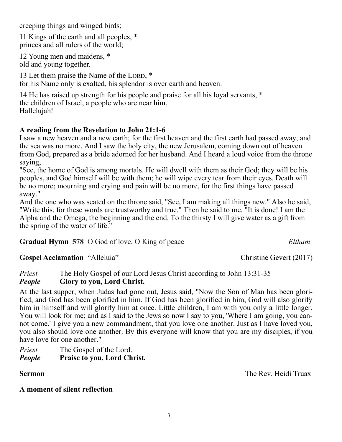creeping things and winged birds;

11 Kings of the earth and all peoples, \* princes and all rulers of the world;

12 Young men and maidens, \* old and young together.

13 Let them praise the Name of the LORD,  $*$ 

for his Name only is exalted, his splendor is over earth and heaven.

14 He has raised up strength for his people and praise for all his loyal servants, \* the children of Israel, a people who are near him. Hallelujah!

#### **A reading from the Revelation to John 21:1-6**

I saw a new heaven and a new earth; for the first heaven and the first earth had passed away, and the sea was no more. And I saw the holy city, the new Jerusalem, coming down out of heaven from God, prepared as a bride adorned for her husband. And I heard a loud voice from the throne saying,

"See, the home of God is among mortals. He will dwell with them as their God; they will be his peoples, and God himself will be with them; he will wipe every tear from their eyes. Death will be no more; mourning and crying and pain will be no more, for the first things have passed away."

And the one who was seated on the throne said, "See, I am making all things new." Also he said, "Write this, for these words are trustworthy and true." Then he said to me, "It is done! I am the Alpha and the Omega, the beginning and the end. To the thirsty I will give water as a gift from the spring of the water of life."

**Gradual Hymn 578** O God of love, O King of peace *Eltham*

Gospel Acclamation "Alleluia" Christine Gevert (2017)

*Priest* The Holy Gospel of our Lord Jesus Christ according to John 13:31-35 *People* **Glory to you, Lord Christ.**

At the last supper, when Judas had gone out, Jesus said, "Now the Son of Man has been glorified, and God has been glorified in him. If God has been glorified in him, God will also glorify him in himself and will glorify him at once. Little children, I am with you only a little longer. You will look for me; and as I said to the Jews so now I say to you, 'Where I am going, you cannot come.' I give you a new commandment, that you love one another. Just as I have loved you, you also should love one another. By this everyone will know that you are my disciples, if you have love for one another."

*Priest* The Gospel of the Lord. *People* **Praise to you, Lord Christ***.*

**Sermon** The Rev. Heidi Truax

#### **A moment of silent reflection**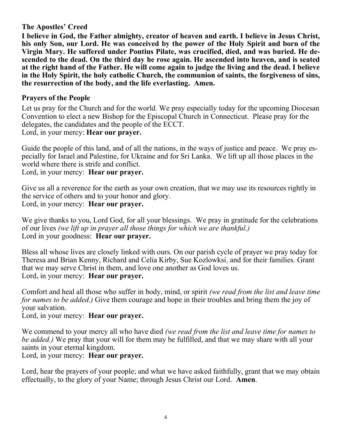#### **The Apostles' Creed**

**I believe in God, the Father almighty, creator of heaven and earth. I believe in Jesus Christ, his only Son, our Lord. He was conceived by the power of the Holy Spirit and born of the Virgin Mary. He suffered under Pontius Pilate, was crucified, died, and was buried. He descended to the dead. On the third day he rose again. He ascended into heaven, and is seated at the right hand of the Father. He will come again to judge the living and the dead. I believe in the Holy Spirit, the holy catholic Church, the communion of saints, the forgiveness of sins, the resurrection of the body, and the life everlasting. Amen.**

#### **Prayers of the People**

Let us pray for the Church and for the world. We pray especially today for the upcoming Diocesan Convention to elect a new Bishop for the Episcopal Church in Connecticut. Please pray for the delegates, the candidates and the people of the ECCT.

Lord, in your mercy: **Hear our prayer.**

Guide the people of this land, and of all the nations, in the ways of justice and peace. We pray especially for Israel and Palestine, for Ukraine and for Sri Lanka. We lift up all those places in the world where there is strife and conflict.

Lord, in your mercy: **Hear our prayer.**

Give us all a reverence for the earth as your own creation, that we may use its resources rightly in the service of others and to your honor and glory. Lord, in your mercy: **Hear our prayer.**

We give thanks to you, Lord God, for all your blessings. We pray in gratitude for the celebrations of our lives *(we lift up in prayer all those things for which we are thankful.)* Lord in your goodness: **Hear our prayer.**

Bless all whose lives are closely linked with ours. On our parish cycle of prayer we pray today for Theresa and Brian Kenny, Richard and Celia Kirby, Sue Kozlowksi, and for their families. Grant that we may serve Christ in them, and love one another as God loves us. Lord, in your mercy: **Hear our prayer.**

Comfort and heal all those who suffer in body, mind, or spirit *(we read from the list and leave time for names to be added.)* Give them courage and hope in their troubles and bring them the joy of your salvation.

Lord, in your mercy: **Hear our prayer.**

We commend to your mercy all who have died *(we read from the list and leave time for names to be added.)* We pray that your will for them may be fulfilled, and that we may share with all your saints in your eternal kingdom.

#### Lord, in your mercy: **Hear our prayer.**

Lord, hear the prayers of your people; and what we have asked faithfully, grant that we may obtain effectually, to the glory of your Name; through Jesus Christ our Lord. **Amen**.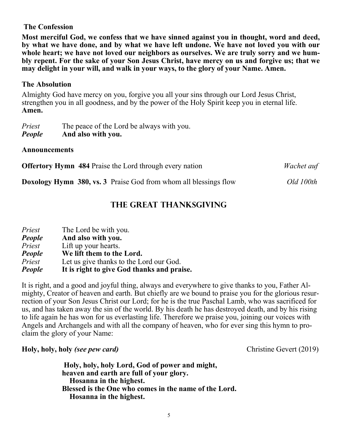#### **The Confession**

**Most merciful God, we confess that we have sinned against you in thought, word and deed, by what we have done, and by what we have left undone. We have not loved you with our whole heart; we have not loved our neighbors as ourselves. We are truly sorry and we humbly repent. For the sake of your Son Jesus Christ, have mercy on us and forgive us; that we may delight in your will, and walk in your ways, to the glory of your Name. Amen.**

#### **The Absolution**

Almighty God have mercy on you, forgive you all your sins through our Lord Jesus Christ, strengthen you in all goodness, and by the power of the Holy Spirit keep you in eternal life. **Amen.**

| Priest        | The peace of the Lord be always with you. |
|---------------|-------------------------------------------|
| <b>People</b> | And also with you.                        |

#### **Announcements**

| <b>Offertory Hymn 484 Praise the Lord through every nation</b>          | Wachet auf |
|-------------------------------------------------------------------------|------------|
| <b>Doxology Hymn 380, vs. 3</b> Praise God from whom all blessings flow | Old 100th  |

## **The Great Thanksgiving**

| Priest        | The Lord be with you.                      |
|---------------|--------------------------------------------|
| People        | And also with you.                         |
| Priest        | Lift up your hearts.                       |
| <b>People</b> | We lift them to the Lord.                  |
| Priest        | Let us give thanks to the Lord our God.    |
| People        | It is right to give God thanks and praise. |

It is right, and a good and joyful thing, always and everywhere to give thanks to you, Father Almighty, Creator of heaven and earth. But chiefly are we bound to praise you for the glorious resurrection of your Son Jesus Christ our Lord; for he is the true Paschal Lamb, who was sacrificed for us, and has taken away the sin of the world. By his death he has destroyed death, and by his rising to life again he has won for us everlasting life. Therefore we praise you, joining our voices with Angels and Archangels and with all the company of heaven, who for ever sing this hymn to proclaim the glory of your Name:

**Holy, holy, holy** *(see pew card)* Christine Gevert (2019)

**Holy, holy, holy Lord, God of power and might, heaven and earth are full of your glory. Hosanna in the highest. Blessed is the One who comes in the name of the Lord. Hosanna in the highest.**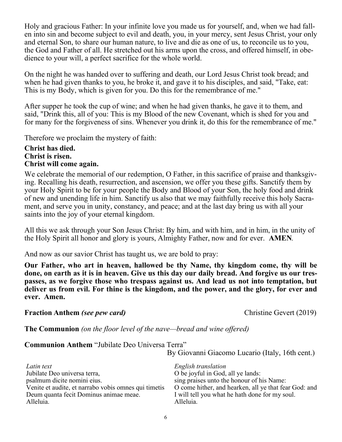Holy and gracious Father: In your infinite love you made us for yourself, and, when we had fallen into sin and become subject to evil and death, you, in your mercy, sent Jesus Christ, your only and eternal Son, to share our human nature, to live and die as one of us, to reconcile us to you, the God and Father of all. He stretched out his arms upon the cross, and offered himself, in obedience to your will, a perfect sacrifice for the whole world.

On the night he was handed over to suffering and death, our Lord Jesus Christ took bread; and when he had given thanks to you, he broke it, and gave it to his disciples, and said, "Take, eat: This is my Body, which is given for you. Do this for the remembrance of me."

After supper he took the cup of wine; and when he had given thanks, he gave it to them, and said, "Drink this, all of you: This is my Blood of the new Covenant, which is shed for you and for many for the forgiveness of sins. Whenever you drink it, do this for the remembrance of me."

Therefore we proclaim the mystery of faith:

#### **Christ has died. Christ is risen. Christ will come again.**

We celebrate the memorial of our redemption, O Father, in this sacrifice of praise and thanksgiving. Recalling his death, resurrection, and ascension, we offer you these gifts. Sanctify them by your Holy Spirit to be for your people the Body and Blood of your Son, the holy food and drink of new and unending life in him. Sanctify us also that we may faithfully receive this holy Sacrament, and serve you in unity, constancy, and peace; and at the last day bring us with all your saints into the joy of your eternal kingdom.

All this we ask through your Son Jesus Christ: By him, and with him, and in him, in the unity of the Holy Spirit all honor and glory is yours, Almighty Father, now and for ever. **AMEN***.*

And now as our savior Christ has taught us, we are bold to pray:

**Our Father, who art in heaven, hallowed be thy Name, thy kingdom come, thy will be done, on earth as it is in heaven. Give us this day our daily bread. And forgive us our trespasses, as we forgive those who trespass against us. And lead us not into temptation, but deliver us from evil. For thine is the kingdom, and the power, and the glory, for ever and ever. Amen.**

**Fraction Anthem** *(see pew card)* Christine Gevert (2019)

**The Communion** *(on the floor level of the nave—bread and wine offered)*

**Communion Anthem** "Jubilate Deo Universa Terra"

By Giovanni Giacomo Lucario (Italy, 16th cent.)

| Latin text                                           | English translation                                   |
|------------------------------------------------------|-------------------------------------------------------|
| Jubilate Deo universa terra,                         | O be joyful in God, all ye lands:                     |
| psalmum dicite nomini eius.                          | sing praises unto the honour of his Name:             |
| Venite et audite, et narrabo vobis omnes qui timetis | O come hither, and hearken, all ye that fear God: and |
| Deum quanta fecit Dominus animae meae.               | I will tell you what he hath done for my soul.        |
| Alleluia.                                            | Alleluia.                                             |
|                                                      |                                                       |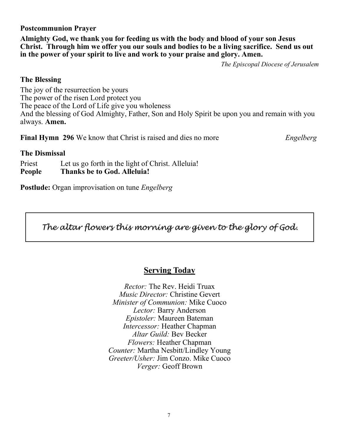#### **Postcommunion Prayer**

**Almighty God, we thank you for feeding us with the body and blood of your son Jesus Christ. Through him we offer you our souls and bodies to be a living sacrifice. Send us out in the power of your spirit to live and work to your praise and glory. Amen.**

*The Episcopal Diocese of Jerusalem*

#### **The Blessing**

The joy of the resurrection be yours The power of the risen Lord protect you The peace of the Lord of Life give you wholeness And the blessing of God Almighty, Father, Son and Holy Spirit be upon you and remain with you always. **Amen.**

**Final Hymn 296** We know that Christ is raised and dies no more *Engelberg*

#### **The Dismissal**

Priest Let us go forth in the light of Christ. Alleluia! **People Thanks be to God. Alleluia!**

**Postlude:** Organ improvisation on tune *Engelberg*

*The altar flowers this morning are given to the glory of God.*

### **Serving Today**

*Rector:* The Rev. Heidi Truax *Music Director:* Christine Gevert *Minister of Communion:* Mike Cuoco *Lector:* Barry Anderson *Epistoler:* Maureen Bateman *Intercessor:* Heather Chapman *Altar Guild:* Bev Becker *Flowers:* Heather Chapman *Counter:* Martha Nesbitt/Lindley Young *Greeter/Usher:* Jim Conzo. Mike Cuoco *Verger:* Geoff Brown